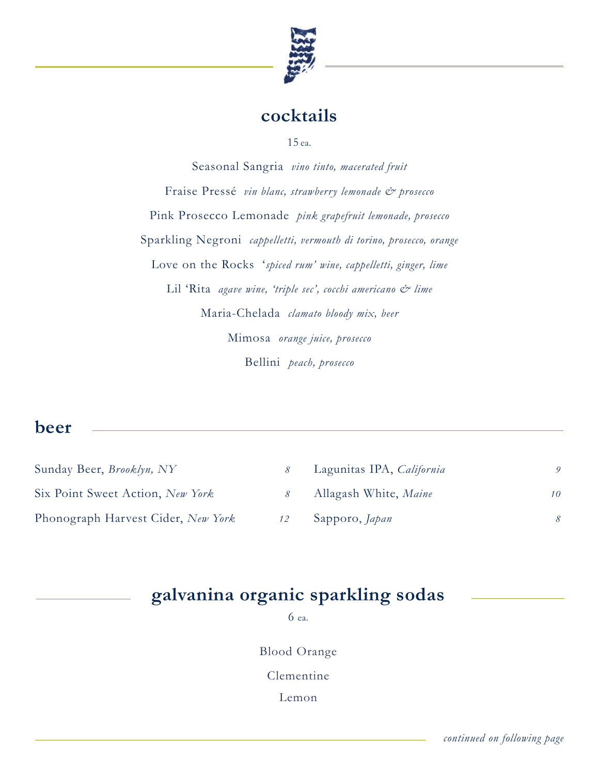

# **cocktails**

15 ea.

Seasonal Sangria *vino tinto, macerated fruit* Fraise Pressé *vin blanc, strawberry lemonade & prosecco* Pink Prosecco Lemonade *pink grapefruit lemonade, prosecco* Sparkling Negroni *cappelletti, vermouth di torino, prosecco, orange* Love on the Rocks '*spiced rum' wine, cappelletti, ginger, lime* Lil 'Rita *agave wine, 'triple sec', cocchi americano & lime* Maria-Chelada *clamato bloody mix, beer* Mimosa *orange juice, prosecco* Bellini *peach, prosecco*

### **beer**

| Sunday Beer, <i>Brooklyn</i> , NY  |    | Lagunitas IPA, California |                 |
|------------------------------------|----|---------------------------|-----------------|
| Six Point Sweet Action, New York   |    | Allagash White, Maine     | 10              |
| Phonograph Harvest Cider, New York | 12 | Sapporo, Japan            | $\mathcal{R}^-$ |

# **galvanina organic sparkling sodas**

6 ea.

Blood Orange

Clementine

Lemon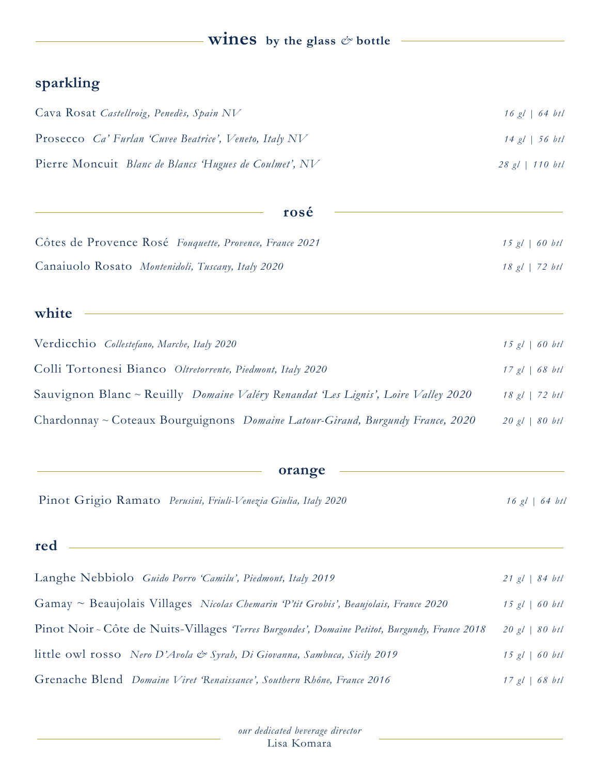# **wines** by the glass  $\phi$  bottle

## **sparkling**

| Cava Rosat Castellroig, Penedès, Spain NV                     | $16$ gl   64 btl  |
|---------------------------------------------------------------|-------------------|
| Prosecco <i>Ca'</i> Furlan 'Cuvee Beatrice', Veneto, Italy NV | $14$ gl   56 btl  |
| Pierre Moncuit Blanc de Blancs 'Hugues de Coulmet', NV        | $28$ gl   110 btl |

| rosé                                                    |                  |
|---------------------------------------------------------|------------------|
| Côtes de Provence Rosé Fouquette, Provence, France 2021 | $15$ gl   60 btl |
| Canaiuolo Rosato Montenidoli, Tuscany, Italy 2020       | $18$ gl   72 btl |

### **white**

| Verdicchio Collestefano, Marche, Italy 2020                                               | $15$ gl   60 btl |
|-------------------------------------------------------------------------------------------|------------------|
| Colli Tortonesi Bianco Oltretorrente, Piedmont, Italy 2020                                | $17$ gl   68 btl |
| Sauvignon Blanc ~ Reuilly <i>Domaine Valéry Renaudat 'Les Lignis'</i> , Loire Valley 2020 | $18$ gl   72 btl |
| Chardonnay ~ Coteaux Bourguignons Domaine Latour-Giraud, Burgundy France, 2020            | $20$ gl   80 btl |

#### **orange**

|  | Pinot Grigio Ramato Perusini, Friuli-Venezia Giulia, Italy 2020 | $16 \text{ gl } 64 \text{ btl}$ |
|--|-----------------------------------------------------------------|---------------------------------|
|--|-----------------------------------------------------------------|---------------------------------|

| red |  |  |
|-----|--|--|
|     |  |  |

| Langhe Nebbiolo Guido Porro 'Camilu', Piedmont, Italy 2019                                     | $21$ gl   84 btl |
|------------------------------------------------------------------------------------------------|------------------|
| Gamay ~ Beaujolais Villages Nicolas Chemarin $P'$ tit Grobis', Beaujolais, France 2020         | $15$ gl   60 btl |
| Pinot Noir ~ Côte de Nuits-Villages 'Terres Burgondes', Domaine Petitot, Burgundy, France 2018 | $20$ gl   80 btl |
| little owl rosso Nero D'Avola & Syrah, Di Giovanna, Sambuca, Sicily 2019                       | $15$ gl   60 btl |
| Grenache Blend Domaine Viret 'Renaissance', Southern Rhône, France 2016                        | $17$ gl   68 btl |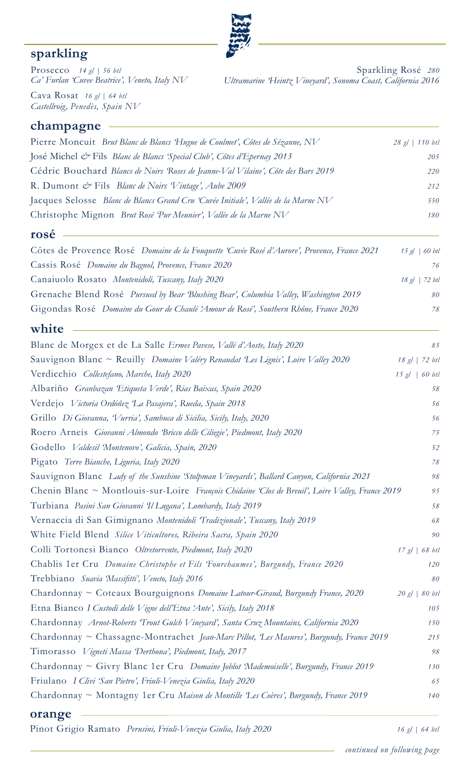# **sparkling**

**champagne**

Prosecco *14 gl | 56 btl Ca' Furlan 'Cuvee Beatrice', Veneto, Italy NV* 

Sparkling Rosé *280 Ultramarine 'Heintz Vineyard', Sonoma Coast, California 2016*

Cava Rosat *16 gl | 64 btl Castellroig, Penedès, Spain NV* 

| José Michel & Fils Blanc de Blancs 'Special Club', Côtes d'Epernay 2013<br>Cédric Bouchard Blancs de Noirs Roses de Jeanne-Val Vilaine', Côte des Bars 2019<br>R. Dumont & Fils Blanc de Noirs Vintage', Aube 2009<br>Jacques Selosse Blanc de Blancs Grand Cru 'Cuvée Initiale', Vallée de la Marne NV<br>Christophe Mignon Brut Rosé Pur Meunier', Vallée de la Marne NV | 205<br>220<br>212<br>550<br>180<br>76 |
|----------------------------------------------------------------------------------------------------------------------------------------------------------------------------------------------------------------------------------------------------------------------------------------------------------------------------------------------------------------------------|---------------------------------------|
|                                                                                                                                                                                                                                                                                                                                                                            |                                       |
|                                                                                                                                                                                                                                                                                                                                                                            |                                       |
|                                                                                                                                                                                                                                                                                                                                                                            |                                       |
|                                                                                                                                                                                                                                                                                                                                                                            |                                       |
|                                                                                                                                                                                                                                                                                                                                                                            |                                       |
| rosé                                                                                                                                                                                                                                                                                                                                                                       |                                       |
| Côtes de Provence Rosé Domaine de la Fouquette 'Cuvée Rosé d'Aurore', Provence, France 2021<br>$15$ gl $\mid$ 60 btl                                                                                                                                                                                                                                                       |                                       |
| Cassis Rosé Domaine du Bagnol, Provence, France 2020                                                                                                                                                                                                                                                                                                                       |                                       |
| Canaiuolo Rosato Montenidoli, Tuscany, Italy 2020<br>$18$ gl   72 btl                                                                                                                                                                                                                                                                                                      |                                       |
| Grenache Blend Rosé Pursued by Bear Blushing Bear', Columbia Valley, Washington 2019                                                                                                                                                                                                                                                                                       | 80                                    |
| Gigondas Rosé Domaine du Gour de Chaulé 'Amour de Rosé', Southern Rhône, France 2020                                                                                                                                                                                                                                                                                       | 78                                    |
| white                                                                                                                                                                                                                                                                                                                                                                      |                                       |
| Blanc de Morgex et de La Salle Ermes Pavese, Vallé d'Aoste, Italy 2020                                                                                                                                                                                                                                                                                                     | 85                                    |
| Sauvignon Blanc ~ Reuilly Domaine Valéry Renaudat Les Lignis', Loire Valley 2020<br>18 gl   72 btl                                                                                                                                                                                                                                                                         |                                       |
| Verdicchio Collestefano, Marche, Italy 2020<br>$15$ gl   60 btl                                                                                                                                                                                                                                                                                                            |                                       |
| Albariño Granbazan Etiqueta Verde', Rias Baixas, Spain 2020                                                                                                                                                                                                                                                                                                                | 58                                    |
| Verdejo Victoria Ordóñez La Pasajera', Rueda, Spain 2018                                                                                                                                                                                                                                                                                                                   | 56                                    |
| Grillo Di Giovanna, Vurria', Sambuca di Sicilia, Sicily, Italy, 2020                                                                                                                                                                                                                                                                                                       | 56                                    |
| Roero Arneis Giovanni Almondo Bricco delle Ciliegie', Piedmont, Italy 2020                                                                                                                                                                                                                                                                                                 | 75                                    |
| Godello Valdesil Montenovo', Galicia, Spain, 2020                                                                                                                                                                                                                                                                                                                          | 52                                    |
| Pigato Terre Bianche, Liguria, Italy 2020                                                                                                                                                                                                                                                                                                                                  | 78                                    |
| Sauvignon Blanc Lady of the Sunshine 'Stolpman Vineyards', Ballard Canyon, California 2021                                                                                                                                                                                                                                                                                 | 98                                    |
| Chenin Blanc ~ Montlouis-sur-Loire François Chidaine 'Clos de Breuil', Loire Valley, France 2019                                                                                                                                                                                                                                                                           | 95                                    |
| Turbiana Pasini San Giovanni Il Lugana', Lombardy, Italy 2019                                                                                                                                                                                                                                                                                                              | 58                                    |
| Vernaccia di San Gimignano Montenidoli Tradizionale', Tuscany, Italy 2019                                                                                                                                                                                                                                                                                                  | 68                                    |
| White Field Blend Silice Viticultores, Ribeira Sacra, Spain 2020                                                                                                                                                                                                                                                                                                           | 90                                    |
| Colli Tortonesi Bianco Oltretorrente, Piedmont, Italy 2020<br>17 gl   68 bl                                                                                                                                                                                                                                                                                                |                                       |
| Chablis 1er Cru Domaine Christophe et Fils 'Fourchaumes', Burgundy, France 2020                                                                                                                                                                                                                                                                                            | 120                                   |
| Trebbiano Suavia Massifitti', Veneto, Italy 2016                                                                                                                                                                                                                                                                                                                           | 80                                    |
| Chardonnay ~ Coteaux Bourguignons Domaine Latour-Giraud, Burgundy France, 2020<br>$20$ gl   80 btl                                                                                                                                                                                                                                                                         |                                       |
| Etna Bianco I Custodi delle Vigne dell'Etna 'Ante', Sicily, Italy 2018                                                                                                                                                                                                                                                                                                     | 105                                   |
| Chardonnay Arnot-Roberts 'Trout Gulch Vineyard', Santa Cruz Mountains, California 2020                                                                                                                                                                                                                                                                                     | 150                                   |
| Chardonnay ~ Chassagne-Montrachet Jean-Marc Pillot, Les Masures', Burgundy, France 2019                                                                                                                                                                                                                                                                                    | 215                                   |
| Timorasso Vigneti Massa Derthona', Piedmont, Italy, 2017                                                                                                                                                                                                                                                                                                                   | $98\,$                                |
| Chardonnay ~ Givry Blanc 1 er Cru Domaine Joblot Mademoiselle', Burgundy, France 2019                                                                                                                                                                                                                                                                                      | 130                                   |
| Friulano I Clivi 'San Pietro', Friuli-Venezia Giulia, Italy 2020                                                                                                                                                                                                                                                                                                           | 65                                    |
| Chardonnay ~ Montagny 1er Cru Maison de Montille Les Coères', Burgundy, France 2019                                                                                                                                                                                                                                                                                        | 140                                   |

#### **orange**

Pinot Grigio Ramato *Perusini, Friuli-Venezia Giulia, Italy 2020 16 gl | 64 btl*